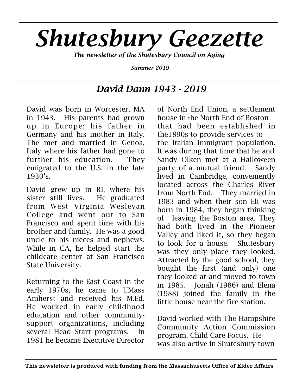

# *David Dann 1943 - 2019*

David was born in Worcester, MA in 1943. His parents had grown up in Europe: his father in Germany and his mother in Italy. The met and married in Genoa, Italy where his father had gone to further his education. They emigrated to the U.S. in the late 1930's.

David grew up in RI, where his sister still lives. He graduated from West Virginia Wesleyan College and went out to San Francisco and spent time with his brother and family. He was a good uncle to his nieces and nephews. While in CA, he helped start the childcare center at San Francisco State University.

Returning to the East Coast in the early 1970s, he came to UMass Amherst and received his M.Ed. He worked in early childhood education and other communitysupport organizations, including several Head Start programs. In 1981 he became Executive Director

of North End Union, a settlement house in the North End of Boston that had been established in the1890s to provide services to the Italian immigrant population. It was during that time that he and Sandy Olken met at a Halloween party of a mutual friend. Sandy lived in Cambridge, conveniently located across the Charles River from North End. They married in 1983 and when their son Eli was born in 1984, they began thinking of leaving the Boston area. They had both lived in the Pioneer Valley and liked it, so they began to look for a house. Shutesbury was they only place they looked. Attracted by the good school, they bought the first (and only) one they looked at and moved to town in 1985. Jonah (1986) and Elena (1988) joined the family in the little house near the fire station.

David worked with The Hampshire Community Action Commission program, Child Care Focus. He was also active in Shutesbury town

**This newsletter is produced with funding from the Massachusetts Office of Elder Affairs**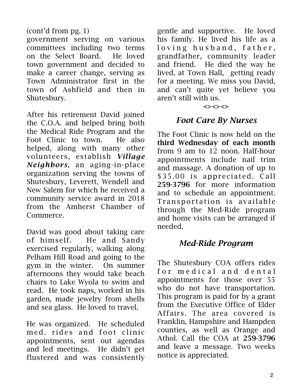### (cont'd from pg. 1)

government serving on various committees including two terms on the Select Board. He loved town government and decided to make a career change, serving as Town Administrator first in the town of Ashfield and then in Shutesbury.

After his retirement David joined the C.O.A. and helped bring both the Medical Ride Program and the Foot Clinic to town. He also helped, along with many other volunteers, establish *Village Neighbors*, an aging-in-place organization serving the towns of Shutesbury, Leverett, Wendell and New Salem for which he received a community service award in 2018 from the Amherst Chamber of Commerce.

David was good about taking care of himself. He and Sandy exercised regularly, walking along Pelham Hill Road and going to the gym in the winter. On summer afternoons they would take beach chairs to Lake Wyola to swim and read. He took naps, worked in his garden, made jewelry from shells and sea glass. He loved to travel.

He was organized. He scheduled med. rides and foot clinic appointments, sent out agendas and led meetings. He didn't get flustered and was consistently

gentle and supportive. He loved his family. He lived his life as a loving husband, father, grandfather, community leader and friend. He died the way he lived, at Town Hall, getting ready for a meeting. We miss you David, and can't quite yet believe you aren't still with us.

#### $\left\langle \right\rangle \left\langle \right\rangle \left\langle \right\rangle$

### *Foot Care By Nurses*

The Foot Clinic is now held on the third Wednesday of each month from 9 am to 12 noon. Half-hour appointments include nail trim and massage. A donation of up to \$35.00 is appreciated. Call 259-3796 for more information and to schedule an appointment. Transportation is available through the Med-Ride program and home visits can be arranged if needed.

### *Med-Ride Program*

The Shutesbury COA offers rides for medical and dental appointments for those over 55 who do not have transportation. This program is paid for by a grant from the Executive Office of Elder Affairs. The area covered is Franklin, Hampshire and Hampden counties, as well as Orange and Athol. Call the COA at 259-3796 and leave a message. Two weeks notice is appreciated.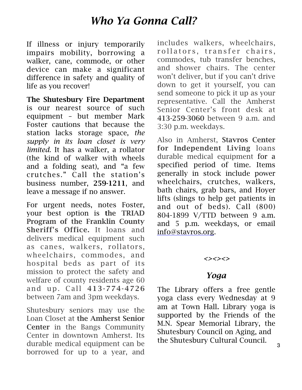# *Who Ya Gonna Call?*

If illness or injury temporarily impairs mobility, borrowing a walker, cane, commode, or other device can make a significant difference in safety and quality of life as you recover!

The Shutesbury Fire Department is our nearest source of such equipment – but member Mark Foster cautions that because the station lacks storage space, *the supply in its loan closet is very limited*. It has a walker, a rollator (the kind of walker with wheels and a folding seat), and "a few crutches." Call the station's business number, 259-1211, and leave a message if no answer.

For urgent needs, notes Foster, your best option is the TRIAD Program of the Franklin County Sheriff's Office. It loans and delivers medical equipment such as canes, walkers, rollators, wheelchairs, commodes, and hospital beds as part of its mission to protect the safety and welfare of county residents age 60 and up. Call 413-774-4726 between 7am and 3pm weekdays.

Shutesbury seniors may use the Loan Closet at the Amherst Senior Center in the Bangs Community Center in downtown Amherst. Its durable medical equipment can be borrowed for up to a year, and includes walkers, wheelchairs, rollators, transfer chairs, commodes, tub transfer benches, and shower chairs. The center won't deliver, but if you can't drive down to get it yourself, you can send someone to pick it up as your representative. Call the Amherst Senior Center's front desk at 413-259-3060 between 9 a.m. and 3:30 p.m. weekdays.

Also in Amherst, Stavros Center for Independent Living loans durable medical equipment for a specified period of time. Items generally in stock include power wheelchairs, crutches, walkers, bath chairs, grab bars, and Hoyer lifts (slings to help get patients in and out of beds). Call (800) 804-1899 V/TTD between 9 a.m. and 5 p.m. weekdays, or email [info@stavros.org](mailto:info@stavros.org).

#### *<><><>*

## *Yoga*

The Library offers a free gentle yoga class every Wednesday at 9 am at Town Hall. Library yoga is supported by the Friends of the M.N. Spear Memorial Library, the Shutesbury Council on Aging, and the Shutesbury Cultural Council.